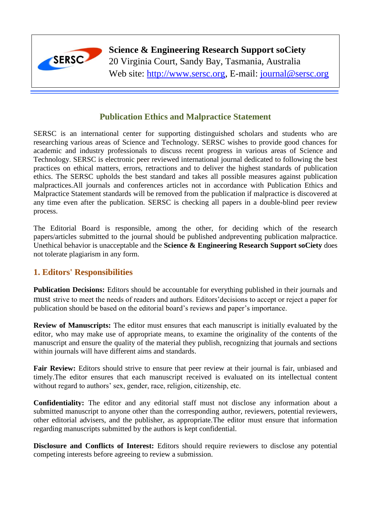

# **Science & Engineering Research Support soCiety**

20 Virginia Court, Sandy Bay, Tasmania, Australia Web site: [http://www.sersc.org,](http://www.sersc.org/) E-mail: [journal@sersc.org](mailto:journal@sersc.org)

## **Publication Ethics and Malpractice Statement**

SERSC is an international center for supporting distinguished scholars and students who are researching various areas of Science and Technology. SERSC wishes to provide good chances for academic and industry professionals to discuss recent progress in various areas of Science and Technology. SERSC is electronic peer reviewed international journal dedicated to following the best practices on ethical matters, errors, retractions and to deliver the highest standards of publication ethics. The SERSC upholds the best standard and takes all possible measures against publication malpractices.All journals and conferences articles not in accordance with Publication Ethics and Malpractice Statement standards will be removed from the publication if malpractice is discovered at any time even after the publication. SERSC is checking all papers in a double-blind peer review process.

The Editorial Board is responsible, among the other, for deciding which of the research papers/articles submitted to the journal should be published andpreventing publication malpractice. Unethical behavior is unacceptable and the **Science & Engineering Research Support soCiety** does not tolerate plagiarism in any form.

## **1. Editors' Responsibilities**

**Publication Decisions:** Editors should be accountable for everything published in their journals and must strive to meet the needs of readers and authors. Editors'decisions to accept or reject a paper for publication should be based on the editorial board's reviews and paper's importance.

**Review of Manuscripts:** The editor must ensures that each manuscript is initially evaluated by the editor, who may make use of appropriate means, to examine the originality of the contents of the manuscript and ensure the quality of the material they publish, recognizing that journals and sections within journals will have different aims and standards.

Fair Review: Editors should strive to ensure that peer review at their journal is fair, unbiased and timely.The editor ensures that each manuscript received is evaluated on its intellectual content without regard to authors' sex, gender, race, religion, citizenship, etc.

**Confidentiality:** The editor and any editorial staff must not disclose any information about a submitted manuscript to anyone other than the corresponding author, reviewers, potential reviewers, other editorial advisers, and the publisher, as appropriate.The editor must ensure that information regarding manuscripts submitted by the authors is kept confidential.

**Disclosure and Conflicts of Interest:** Editors should require reviewers to disclose any potential competing interests before agreeing to review a submission.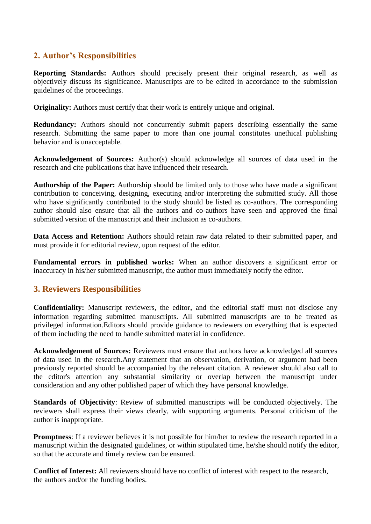### **2. Author's Responsibilities**

**Reporting Standards:** Authors should precisely present their original research, as well as objectively discuss its significance. Manuscripts are to be edited in accordance to the submission guidelines of the proceedings.

**Originality:** Authors must certify that their work is entirely unique and original.

**Redundancy:** Authors should not concurrently submit papers describing essentially the same research. Submitting the same paper to more than one journal constitutes unethical publishing behavior and is unacceptable.

**Acknowledgement of Sources:** Author(s) should acknowledge all sources of data used in the research and cite publications that have influenced their research.

**Authorship of the Paper:** Authorship should be limited only to those who have made a significant contribution to conceiving, designing, executing and/or interpreting the submitted study. All those who have significantly contributed to the study should be listed as co-authors. The corresponding author should also ensure that all the authors and co-authors have seen and approved the final submitted version of the manuscript and their inclusion as co-authors.

**Data Access and Retention:** Authors should retain raw data related to their submitted paper, and must provide it for editorial review, upon request of the editor.

**Fundamental errors in published works:** When an author discovers a significant error or inaccuracy in his/her submitted manuscript, the author must immediately notify the editor.

### **3. Reviewers Responsibilities**

**Confidentiality:** Manuscript reviewers, the editor, and the editorial staff must not disclose any information regarding submitted manuscripts. All submitted manuscripts are to be treated as privileged information.Editors should provide guidance to reviewers on everything that is expected of them including the need to handle submitted material in confidence.

**Acknowledgement of Sources:** Reviewers must ensure that authors have acknowledged all sources of data used in the research.Any statement that an observation, derivation, or argument had been previously reported should be accompanied by the relevant citation. A reviewer should also call to the editor's attention any substantial similarity or overlap between the manuscript under consideration and any other published paper of which they have personal knowledge.

**Standards of Objectivity**: Review of submitted manuscripts will be conducted objectively. The reviewers shall express their views clearly, with supporting arguments. Personal criticism of the author is inappropriate.

**Promptness**: If a reviewer believes it is not possible for him/her to review the research reported in a manuscript within the designated guidelines, or within stipulated time, he/she should notify the editor, so that the accurate and timely review can be ensured.

**Conflict of Interest:** All reviewers should have no conflict of interest with respect to the research, the authors and/or the funding bodies.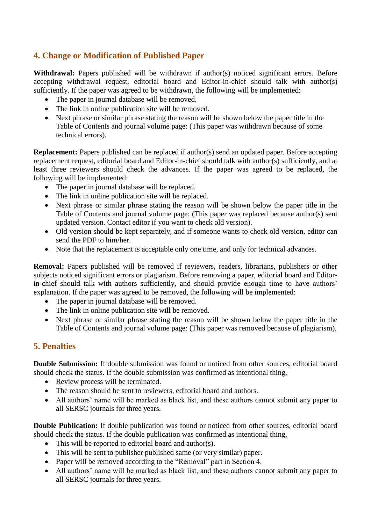## **4. Change or Modification of Published Paper**

Withdrawal: Papers published will be withdrawn if author(s) noticed significant errors. Before accepting withdrawal request, editorial board and Editor-in-chief should talk with author(s) sufficiently. If the paper was agreed to be withdrawn, the following will be implemented:

- The paper in journal database will be removed.
- The link in online publication site will be removed.
- Next phrase or similar phrase stating the reason will be shown below the paper title in the Table of Contents and journal volume page: (This paper was withdrawn because of some technical errors).

**Replacement:** Papers published can be replaced if author(s) send an updated paper. Before accepting replacement request, editorial board and Editor-in-chief should talk with author(s) sufficiently, and at least three reviewers should check the advances. If the paper was agreed to be replaced, the following will be implemented:

- The paper in journal database will be replaced.
- The link in online publication site will be replaced.
- Next phrase or similar phrase stating the reason will be shown below the paper title in the Table of Contents and journal volume page: (This paper was replaced because author(s) sent updated version. Contact editor if you want to check old version).
- Old version should be kept separately, and if someone wants to check old version, editor can send the PDF to him/her.
- Note that the replacement is acceptable only one time, and only for technical advances.

**Removal:** Papers published will be removed if reviewers, readers, librarians, publishers or other subjects noticed significant errors or plagiarism. Before removing a paper, editorial board and Editorin-chief should talk with authors sufficiently, and should provide enough time to have authors' explanation. If the paper was agreed to be removed, the following will be implemented:

- The paper in journal database will be removed.
- The link in online publication site will be removed.
- Next phrase or similar phrase stating the reason will be shown below the paper title in the Table of Contents and journal volume page: (This paper was removed because of plagiarism).

### **5. Penalties**

**Double Submission:** If double submission was found or noticed from other sources, editorial board should check the status. If the double submission was confirmed as intentional thing,

- Review process will be terminated.
- The reason should be sent to reviewers, editorial board and authors.
- All authors' name will be marked as black list, and these authors cannot submit any paper to all SERSC journals for three years.

**Double Publication:** If double publication was found or noticed from other sources, editorial board should check the status. If the double publication was confirmed as intentional thing,

- This will be reported to editorial board and author(s).
- This will be sent to publisher published same (or very similar) paper.
- Paper will be removed according to the "Removal" part in Section 4.
- All authors' name will be marked as black list, and these authors cannot submit any paper to all SERSC journals for three years.